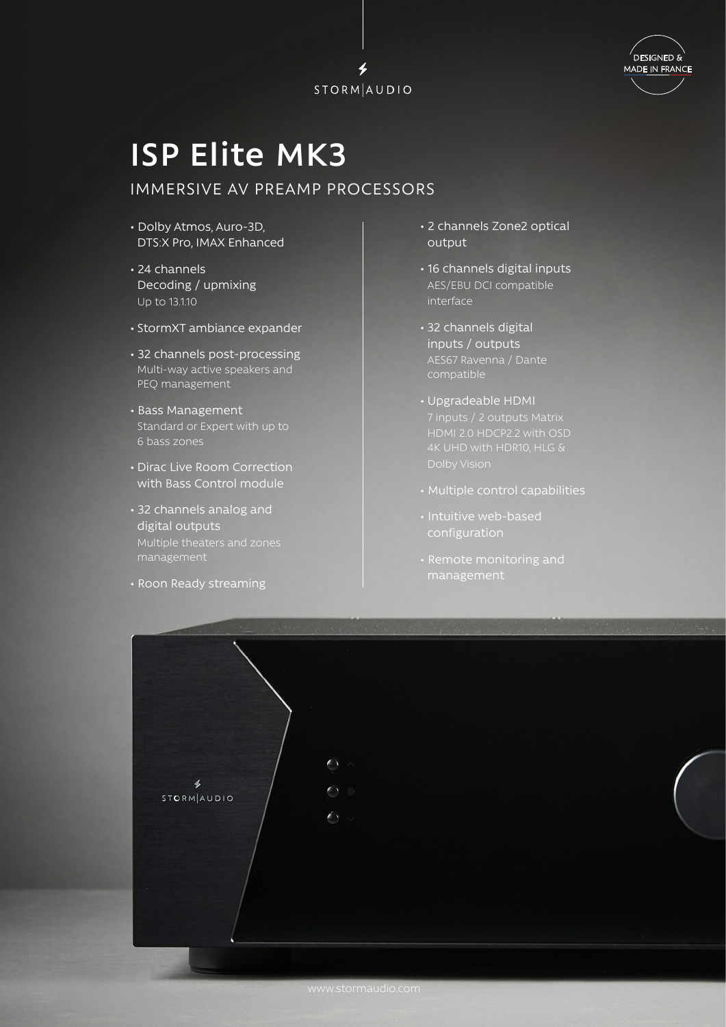



## **ISP Elite MK3**

## IMMERSIVE AV PREAMP PROCESSORS

- Dolby Atmos, Auro-3D, DTS:X Pro, IMAX Enhanced
- 24 channels Decoding / upmixing Up to 13.1.10
- StormXT ambiance expander
- 32 channels post-processing Multi-way active speakers and PEQ management
- Bass Management Standard or Expert with up to 6 bass zones
- Dirac Live Room Correction with Bass Control module
- 32 channels analog and digital outputs Multiple theaters and zones management
- Roon Ready streaming
- 2 channels Zone2 optical output
- 16 channels digital inputs AES/EBU DCI compatible interface
- 32 channels digital inputs / outputs AES67 Ravenna / Dante compatible
- Upgradeable HDMI
- Multiple control capabilities
- Intuitive web-based
-